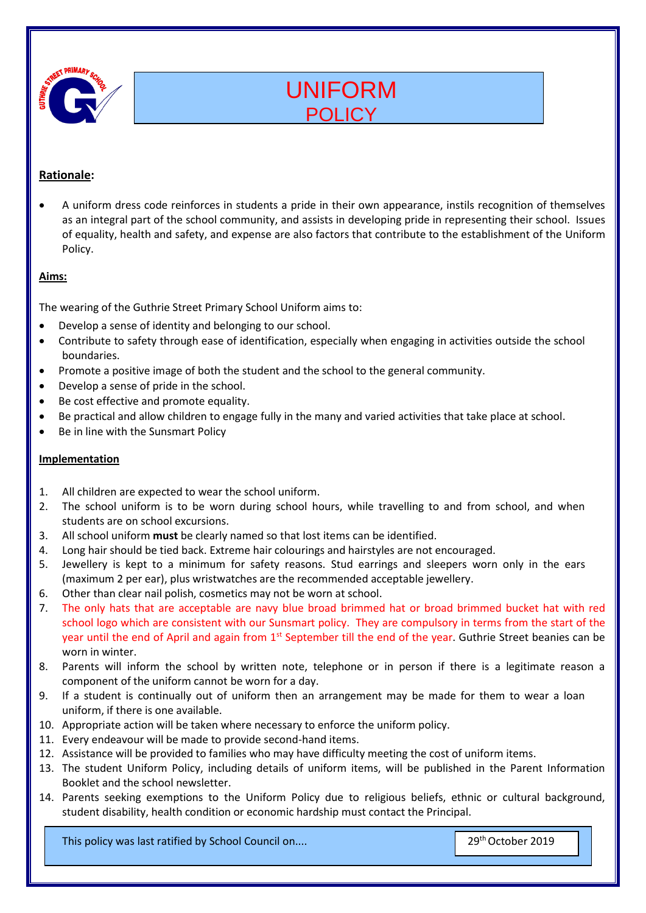

# UNIFORM POLICY

# **Rationale:**

• A uniform dress code reinforces in students a pride in their own appearance, instils recognition of themselves as an integral part of the school community, and assists in developing pride in representing their school. Issues of equality, health and safety, and expense are also factors that contribute to the establishment of the Uniform Policy.

#### **Aims:**

The wearing of the Guthrie Street Primary School Uniform aims to:

- Develop a sense of identity and belonging to our school.
- Contribute to safety through ease of identification, especially when engaging in activities outside the school boundaries.
- Promote a positive image of both the student and the school to the general community.
- Develop a sense of pride in the school.
- Be cost effective and promote equality.
- Be practical and allow children to engage fully in the many and varied activities that take place at school.
- Be in line with the Sunsmart Policy

#### **Implementation**

- 1. All children are expected to wear the school uniform.
- 2. The school uniform is to be worn during school hours, while travelling to and from school, and when students are on school excursions.
- 3. All school uniform **must** be clearly named so that lost items can be identified.
- 4. Long hair should be tied back. Extreme hair colourings and hairstyles are not encouraged.
- 5. Jewellery is kept to a minimum for safety reasons. Stud earrings and sleepers worn only in the ears (maximum 2 per ear), plus wristwatches are the recommended acceptable jewellery.
- 6. Other than clear nail polish, cosmetics may not be worn at school.
- 7. The only hats that are acceptable are navy blue broad brimmed hat or broad brimmed bucket hat with red school logo which are consistent with our Sunsmart policy. They are compulsory in terms from the start of the year until the end of April and again from 1<sup>st</sup> September till the end of the year. Guthrie Street beanies can be worn in winter.
- 8. Parents will inform the school by written note, telephone or in person if there is a legitimate reason a component of the uniform cannot be worn for a day.
- 9. If a student is continually out of uniform then an arrangement may be made for them to wear a loan uniform, if there is one available.
- 10. Appropriate action will be taken where necessary to enforce the uniform policy.
- 11. Every endeavour will be made to provide second-hand items.
- 12. Assistance will be provided to families who may have difficulty meeting the cost of uniform items.
- 13. The student Uniform Policy, including details of uniform items, will be published in the Parent Information Booklet and the school newsletter.
- 14. Parents seeking exemptions to the Uniform Policy due to religious beliefs, ethnic or cultural background, student disability, health condition or economic hardship must contact the Principal.

This policy was last ratified by School Council on.... 29th October 2019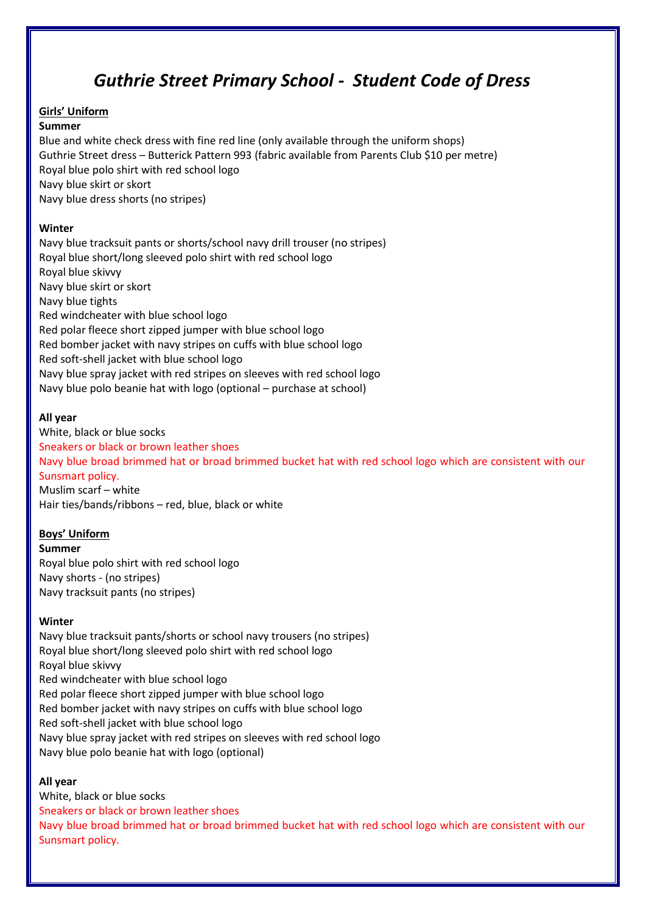# *Guthrie Street Primary School - Student Code of Dress*

# **Girls' Uniform**

### **Summer**

Blue and white check dress with fine red line (only available through the uniform shops) Guthrie Street dress – Butterick Pattern 993 (fabric available from Parents Club \$10 per metre) Royal blue polo shirt with red school logo Navy blue skirt or skort Navy blue dress shorts (no stripes)

# **Winter**

Navy blue tracksuit pants or shorts/school navy drill trouser (no stripes) Royal blue short/long sleeved polo shirt with red school logo Royal blue skivvy Navy blue skirt or skort Navy blue tights Red windcheater with blue school logo Red polar fleece short zipped jumper with blue school logo Red bomber jacket with navy stripes on cuffs with blue school logo Red soft-shell jacket with blue school logo Navy blue spray jacket with red stripes on sleeves with red school logo Navy blue polo beanie hat with logo (optional – purchase at school)

# **All year**

White, black or blue socks Sneakers or black or brown leather shoes Navy blue broad brimmed hat or broad brimmed bucket hat with red school logo which are consistent with our Sunsmart policy. Muslim scarf – white

Hair ties/bands/ribbons – red, blue, black or white

# **Boys' Uniform**

**Summer** Royal blue polo shirt with red school logo Navy shorts - (no stripes) Navy tracksuit pants (no stripes)

# **Winter**

Navy blue tracksuit pants/shorts or school navy trousers (no stripes) Royal blue short/long sleeved polo shirt with red school logo Royal blue skivvy Red windcheater with blue school logo Red polar fleece short zipped jumper with blue school logo Red bomber jacket with navy stripes on cuffs with blue school logo Red soft-shell jacket with blue school logo Navy blue spray jacket with red stripes on sleeves with red school logo Navy blue polo beanie hat with logo (optional)

# **All year**

White, black or blue socks Sneakers or black or brown leather shoes Navy blue broad brimmed hat or broad brimmed bucket hat with red school logo which are consistent with our Sunsmart policy.